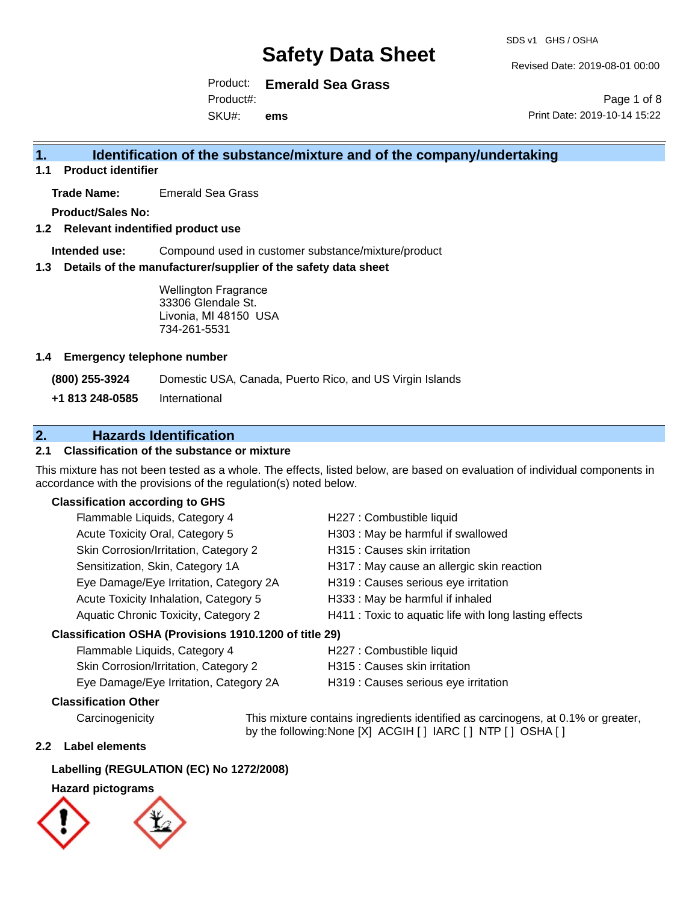Revised Date: 2019-08-01 00:00

Product: **Emerald Sea Grass** SKU#: Product#: **ems**

Page 1 of 8 Print Date: 2019-10-14 15:22

## **1. Identification of the substance/mixture and of the company/undertaking**

**1.1 Product identifier**

**Trade Name:** Emerald Sea Grass

**Product/Sales No:**

### **1.2 Relevant indentified product use**

**Intended use:** Compound used in customer substance/mixture/product

### **1.3 Details of the manufacturer/supplier of the safety data sheet**

Wellington Fragrance 33306 Glendale St. Livonia, MI 48150 USA 734-261-5531

### **1.4 Emergency telephone number**

**(800) 255-3924** Domestic USA, Canada, Puerto Rico, and US Virgin Islands

**+1 813 248-0585** International

## **2. Hazards Identification**

### **2.1 Classification of the substance or mixture**

This mixture has not been tested as a whole. The effects, listed below, are based on evaluation of individual components in accordance with the provisions of the regulation(s) noted below.

### **Classification according to GHS**

| Flammable Liquids, Category 4                       | H227 : Combustible liquid                              |
|-----------------------------------------------------|--------------------------------------------------------|
| Acute Toxicity Oral, Category 5                     | H303 : May be harmful if swallowed                     |
| Skin Corrosion/Irritation, Category 2               | H315 : Causes skin irritation                          |
| Sensitization, Skin, Category 1A                    | H317 : May cause an allergic skin reaction             |
| Eye Damage/Eye Irritation, Category 2A              | H319 : Causes serious eye irritation                   |
| Acute Toxicity Inhalation, Category 5               | H333: May be harmful if inhaled                        |
| Aquatic Chronic Toxicity, Category 2                | H411 : Toxic to aquatic life with long lasting effects |
| ceification OSUA (Provisione 1010 1200 of title 20) |                                                        |

### **Classification OSHA (Provisions 1910.1200 of title 29)**

| Flammable Liquids, Category 4          | H227 : Combustible liquid            |
|----------------------------------------|--------------------------------------|
| Skin Corrosion/Irritation, Category 2  | H315 : Causes skin irritation        |
| Eye Damage/Eye Irritation, Category 2A | H319 : Causes serious eye irritation |

### **Classification Other**

Carcinogenicity This mixture contains ingredients identified as carcinogens, at 0.1% or greater, by the following:None [X] ACGIH [ ] IARC [ ] NTP [ ] OSHA [ ]

### **2.2 Label elements**

### **Labelling (REGULATION (EC) No 1272/2008)**

### **Hazard pictograms**

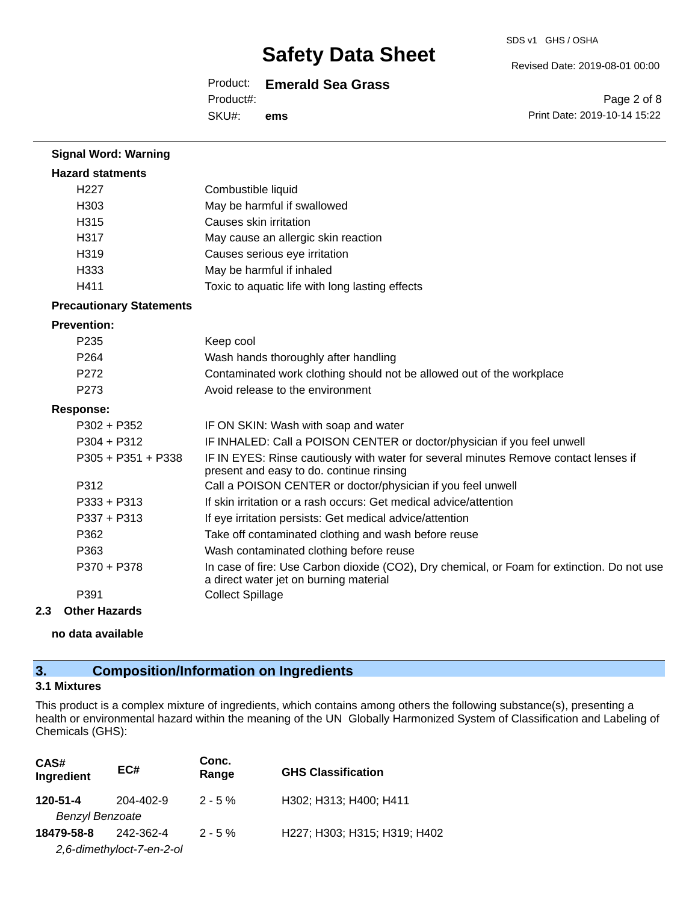#### Revised Date: 2019-08-01 00:00

Product: **Emerald Sea Grass**

Product#:

SKU#: **ems**

Page 2 of 8 Print Date: 2019-10-14 15:22

| <b>Signal Word: Warning</b>     |                                                                                                                                       |
|---------------------------------|---------------------------------------------------------------------------------------------------------------------------------------|
| <b>Hazard statments</b>         |                                                                                                                                       |
| H <sub>227</sub>                | Combustible liquid                                                                                                                    |
| H303                            | May be harmful if swallowed                                                                                                           |
| H <sub>315</sub>                | Causes skin irritation                                                                                                                |
| H317                            | May cause an allergic skin reaction                                                                                                   |
| H319                            | Causes serious eye irritation                                                                                                         |
| H <sub>333</sub>                | May be harmful if inhaled                                                                                                             |
| H411                            | Toxic to aquatic life with long lasting effects                                                                                       |
| <b>Precautionary Statements</b> |                                                                                                                                       |
| <b>Prevention:</b>              |                                                                                                                                       |
| P235                            | Keep cool                                                                                                                             |
| P264                            | Wash hands thoroughly after handling                                                                                                  |
| P272                            | Contaminated work clothing should not be allowed out of the workplace                                                                 |
| P273                            | Avoid release to the environment                                                                                                      |
| <b>Response:</b>                |                                                                                                                                       |
| $P302 + P352$                   | IF ON SKIN: Wash with soap and water                                                                                                  |
| $P304 + P312$                   | IF INHALED: Call a POISON CENTER or doctor/physician if you feel unwell                                                               |
| $P305 + P351 + P338$            | IF IN EYES: Rinse cautiously with water for several minutes Remove contact lenses if<br>present and easy to do. continue rinsing      |
| P312                            | Call a POISON CENTER or doctor/physician if you feel unwell                                                                           |
| $P333 + P313$                   | If skin irritation or a rash occurs: Get medical advice/attention                                                                     |
| P337 + P313                     | If eye irritation persists: Get medical advice/attention                                                                              |
| P362                            | Take off contaminated clothing and wash before reuse                                                                                  |
| P363                            | Wash contaminated clothing before reuse                                                                                               |
| P370 + P378                     | In case of fire: Use Carbon dioxide (CO2), Dry chemical, or Foam for extinction. Do not use<br>a direct water jet on burning material |
| P391                            | <b>Collect Spillage</b>                                                                                                               |

### **2.3 Other Hazards**

**no data available**

## **3. Composition/Information on Ingredients**

### **3.1 Mixtures**

This product is a complex mixture of ingredients, which contains among others the following substance(s), presenting a health or environmental hazard within the meaning of the UN Globally Harmonized System of Classification and Labeling of Chemicals (GHS):

| CAS#<br>Ingredient                 | EC#                       | Conc.<br>Range | <b>GHS Classification</b>    |
|------------------------------------|---------------------------|----------------|------------------------------|
| 120-51-4<br><b>Benzyl Benzoate</b> | 204-402-9                 | $2 - 5\%$      | H302; H313; H400; H411       |
| 18479-58-8                         | 242-362-4                 | $2 - 5 \%$     | H227; H303; H315; H319; H402 |
|                                    | 2,6-dimethyloct-7-en-2-ol |                |                              |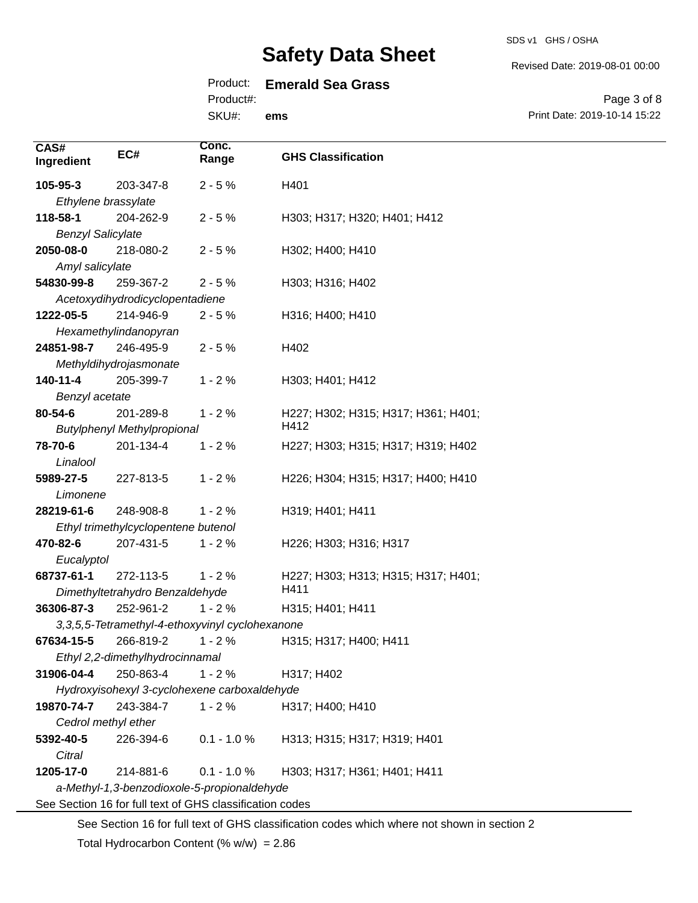SDS v1 GHS / OSHA

### Revised Date: 2019-08-01 00:00

## Product: **Emerald Sea Grass**

Product#:

SKU#: **ems**

Page 3 of 8 Print Date: 2019-10-14 15:22

| $\overline{CAS}$ #                                       | EC#                                 | Conc.                                           |                                     |
|----------------------------------------------------------|-------------------------------------|-------------------------------------------------|-------------------------------------|
| Ingredient                                               |                                     | Range                                           | <b>GHS Classification</b>           |
| 105-95-3                                                 | 203-347-8                           | $2 - 5%$                                        | H401                                |
| Ethylene brassylate                                      |                                     |                                                 |                                     |
| 118-58-1                                                 | 204-262-9                           | $2 - 5%$                                        | H303; H317; H320; H401; H412        |
| <b>Benzyl Salicylate</b>                                 |                                     |                                                 |                                     |
| 2050-08-0                                                | 218-080-2                           | $2 - 5%$                                        | H302; H400; H410                    |
| Amyl salicylate                                          |                                     |                                                 |                                     |
| 54830-99-8                                               | 259-367-2                           | $2 - 5%$                                        | H303; H316; H402                    |
|                                                          | Acetoxydihydrodicyclopentadiene     |                                                 |                                     |
| 1222-05-5                                                | 214-946-9                           | $2 - 5%$                                        | H316; H400; H410                    |
|                                                          | Hexamethylindanopyran               |                                                 |                                     |
| 24851-98-7                                               | 246-495-9                           | $2 - 5%$                                        | H402                                |
|                                                          | Methyldihydrojasmonate              |                                                 |                                     |
| $140 - 11 - 4$                                           | 205-399-7                           | $1 - 2%$                                        | H303; H401; H412                    |
| Benzyl acetate                                           |                                     |                                                 |                                     |
| 80-54-6                                                  | 201-289-8                           | $1 - 2%$                                        | H227; H302; H315; H317; H361; H401; |
|                                                          | <b>Butylphenyl Methylpropional</b>  |                                                 | H412                                |
| 78-70-6                                                  | 201-134-4                           | $1 - 2%$                                        | H227; H303; H315; H317; H319; H402  |
| Linalool                                                 |                                     |                                                 |                                     |
| 5989-27-5                                                | 227-813-5                           | $1 - 2%$                                        | H226; H304; H315; H317; H400; H410  |
| Limonene                                                 |                                     |                                                 |                                     |
| 28219-61-6                                               | 248-908-8                           | $1 - 2%$                                        | H319; H401; H411                    |
|                                                          | Ethyl trimethylcyclopentene butenol |                                                 |                                     |
| 470-82-6                                                 | 207-431-5                           | $1 - 2%$                                        | H226; H303; H316; H317              |
| Eucalyptol                                               |                                     |                                                 |                                     |
| 68737-61-1                                               | 272-113-5                           | $1 - 2%$                                        | H227; H303; H313; H315; H317; H401; |
|                                                          | Dimethyltetrahydro Benzaldehyde     |                                                 | H411                                |
| 36306-87-3                                               | 252-961-2                           | $1 - 2%$                                        | H315; H401; H411                    |
|                                                          |                                     | 3,3,5,5-Tetramethyl-4-ethoxyvinyl cyclohexanone |                                     |
| 67634-15-5                                               | 266-819-2                           | $1 - 2%$                                        | H315; H317; H400; H411              |
|                                                          | Ethyl 2,2-dimethylhydrocinnamal     |                                                 |                                     |
| 31906-04-4                                               | 250-863-4                           | $1 - 2%$                                        | H317; H402                          |
| Hydroxyisohexyl 3-cyclohexene carboxaldehyde             |                                     |                                                 |                                     |
| 19870-74-7                                               | 243-384-7                           | $1 - 2%$                                        | H317; H400; H410                    |
| Cedrol methyl ether                                      |                                     |                                                 |                                     |
| 5392-40-5                                                | 226-394-6                           | $0.1 - 1.0 %$                                   | H313; H315; H317; H319; H401        |
| Citral                                                   |                                     |                                                 |                                     |
| 1205-17-0                                                | 214-881-6                           | $0.1 - 1.0 %$                                   | H303; H317; H361; H401; H411        |
|                                                          |                                     | a-Methyl-1,3-benzodioxole-5-propionaldehyde     |                                     |
| See Section 16 for full text of GHS classification codes |                                     |                                                 |                                     |
|                                                          |                                     |                                                 |                                     |

See Section 16 for full text of GHS classification codes which where not shown in section 2

Total Hydrocarbon Content (%  $w/w$ ) = 2.86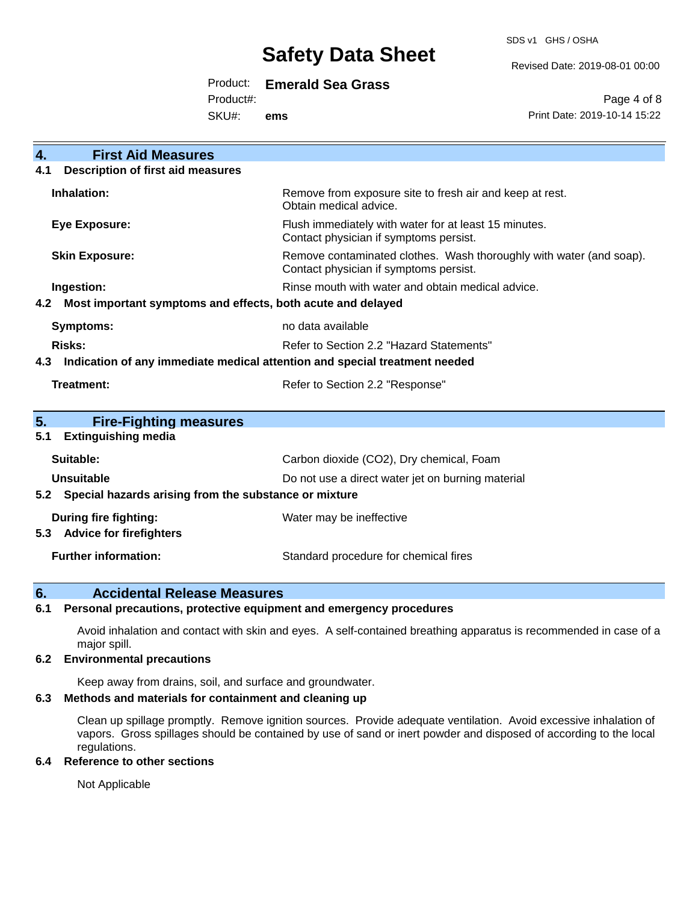SDS v1 GHS / OSHA

Revised Date: 2019-08-01 00:00

Product: **Emerald Sea Grass**

Product#:

SKU#: **ems**

Page 4 of 8 Print Date: 2019-10-14 15:22

| Remove from exposure site to fresh air and keep at rest.<br>Obtain medical advice.                            |  |
|---------------------------------------------------------------------------------------------------------------|--|
| Flush immediately with water for at least 15 minutes.<br>Contact physician if symptoms persist.               |  |
| Remove contaminated clothes. Wash thoroughly with water (and soap).<br>Contact physician if symptoms persist. |  |
| Rinse mouth with water and obtain medical advice.                                                             |  |
| Most important symptoms and effects, both acute and delayed                                                   |  |
| no data available                                                                                             |  |
| Refer to Section 2.2 "Hazard Statements"                                                                      |  |
| Indication of any immediate medical attention and special treatment needed<br>4.3                             |  |
| Refer to Section 2.2 "Response"                                                                               |  |
|                                                                                                               |  |
|                                                                                                               |  |
|                                                                                                               |  |
| Carbon dioxide (CO2), Dry chemical, Foam                                                                      |  |
| Do not use a direct water jet on burning material                                                             |  |
| Special hazards arising from the substance or mixture<br>5.2                                                  |  |
| Water may be ineffective                                                                                      |  |
|                                                                                                               |  |
|                                                                                                               |  |
|                                                                                                               |  |

### **6. Accidental Release Measures**

### **6.1 Personal precautions, protective equipment and emergency procedures**

Avoid inhalation and contact with skin and eyes. A self-contained breathing apparatus is recommended in case of a major spill.

### **6.2 Environmental precautions**

Keep away from drains, soil, and surface and groundwater.

### **6.3 Methods and materials for containment and cleaning up**

Clean up spillage promptly. Remove ignition sources. Provide adequate ventilation. Avoid excessive inhalation of vapors. Gross spillages should be contained by use of sand or inert powder and disposed of according to the local regulations.

### **6.4 Reference to other sections**

Not Applicable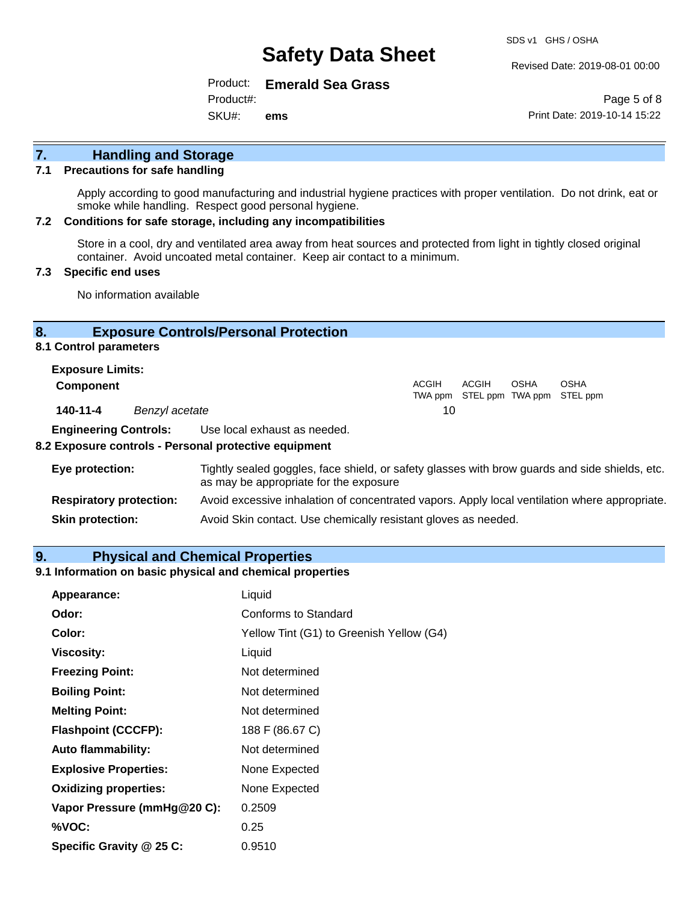Revised Date: 2019-08-01 00:00

Product: **Emerald Sea Grass** Product#:

SKU#: **ems**

Page 5 of 8 Print Date: 2019-10-14 15:22

# **7. Handling and Storage**

### **7.1 Precautions for safe handling**

Apply according to good manufacturing and industrial hygiene practices with proper ventilation. Do not drink, eat or smoke while handling. Respect good personal hygiene.

### **7.2 Conditions for safe storage, including any incompatibilities**

Store in a cool, dry and ventilated area away from heat sources and protected from light in tightly closed original container. Avoid uncoated metal container. Keep air contact to a minimum.

### **7.3 Specific end uses**

No information available

### **8. Exposure Controls/Personal Protection**

### **8.1 Control parameters**

| <b>Exposure Limits:</b> |                |       |       |             |                                                  |
|-------------------------|----------------|-------|-------|-------------|--------------------------------------------------|
| <b>Component</b>        |                | ACGIH | ACGIH | <b>OSHA</b> | <b>OSHA</b><br>TWA ppm STEL ppm TWA ppm STEL ppm |
| 140-11-4                | Benzyl acetate | 10    |       |             |                                                  |

**Engineering Controls:** Use local exhaust as needed.

### **8.2 Exposure controls - Personal protective equipment**

| Eye protection:                | Tightly sealed goggles, face shield, or safety glasses with brow guards and side shields, etc.<br>as may be appropriate for the exposure |
|--------------------------------|------------------------------------------------------------------------------------------------------------------------------------------|
| <b>Respiratory protection:</b> | Avoid excessive inhalation of concentrated vapors. Apply local ventilation where appropriate.                                            |
| <b>Skin protection:</b>        | Avoid Skin contact. Use chemically resistant gloves as needed.                                                                           |

### **9. Physical and Chemical Properties**

### **9.1 Information on basic physical and chemical properties**

| Appearance:                  | Liquid                                   |
|------------------------------|------------------------------------------|
| Odor:                        | <b>Conforms to Standard</b>              |
| Color:                       | Yellow Tint (G1) to Greenish Yellow (G4) |
| <b>Viscosity:</b>            | Liquid                                   |
| <b>Freezing Point:</b>       | Not determined                           |
| <b>Boiling Point:</b>        | Not determined                           |
| <b>Melting Point:</b>        | Not determined                           |
| <b>Flashpoint (CCCFP):</b>   | 188 F (86.67 C)                          |
| <b>Auto flammability:</b>    | Not determined                           |
| <b>Explosive Properties:</b> | None Expected                            |
| <b>Oxidizing properties:</b> | None Expected                            |
| Vapor Pressure (mmHg@20 C):  | 0.2509                                   |
| %VOC:                        | 0.25                                     |
| Specific Gravity @ 25 C:     | 0.9510                                   |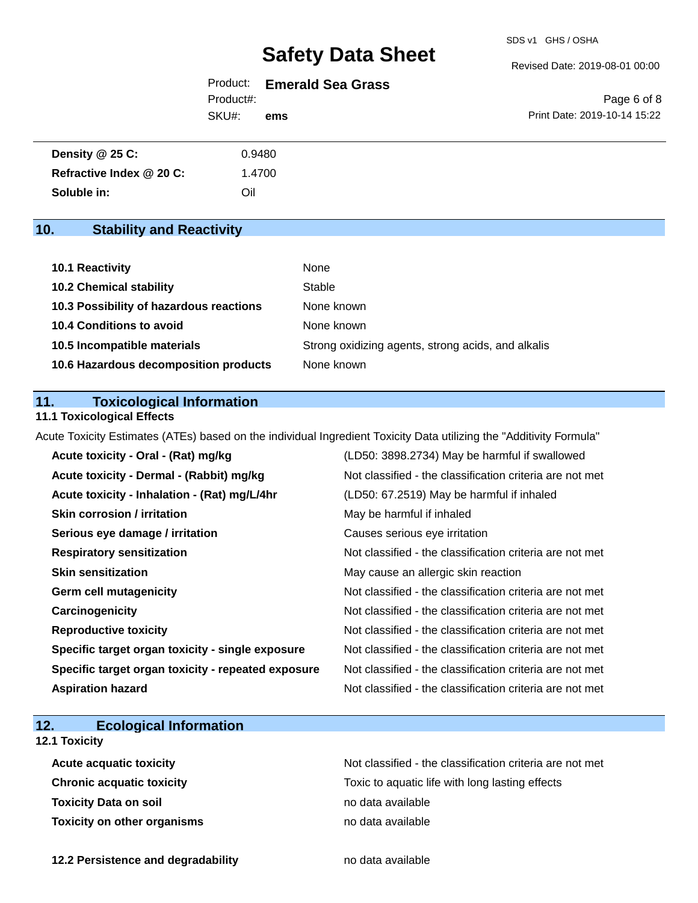### Revised Date: 2019-08-01 00:00

Product: **Emerald Sea Grass** SKU#: Product#: **ems**

Page 6 of 8 Print Date: 2019-10-14 15:22

| Density $@25C$ :         | 0.9480 |
|--------------------------|--------|
| Refractive Index @ 20 C: | 1.4700 |
| Soluble in:              | Oil    |

# **10. Stability and Reactivity**

| 10.1 Reactivity                         | None                                               |
|-----------------------------------------|----------------------------------------------------|
| <b>10.2 Chemical stability</b>          | Stable                                             |
| 10.3 Possibility of hazardous reactions | None known                                         |
| <b>10.4 Conditions to avoid</b>         | None known                                         |
| 10.5 Incompatible materials             | Strong oxidizing agents, strong acids, and alkalis |
| 10.6 Hazardous decomposition products   | None known                                         |

### **11. Toxicological Information**

### **11.1 Toxicological Effects**

Acute Toxicity Estimates (ATEs) based on the individual Ingredient Toxicity Data utilizing the "Additivity Formula"

| Acute toxicity - Oral - (Rat) mg/kg                | (LD50: 3898.2734) May be harmful if swallowed            |
|----------------------------------------------------|----------------------------------------------------------|
| Acute toxicity - Dermal - (Rabbit) mg/kg           | Not classified - the classification criteria are not met |
| Acute toxicity - Inhalation - (Rat) mg/L/4hr       | (LD50: 67.2519) May be harmful if inhaled                |
| <b>Skin corrosion / irritation</b>                 | May be harmful if inhaled                                |
| Serious eye damage / irritation                    | Causes serious eye irritation                            |
| <b>Respiratory sensitization</b>                   | Not classified - the classification criteria are not met |
| <b>Skin sensitization</b>                          | May cause an allergic skin reaction                      |
| <b>Germ cell mutagenicity</b>                      | Not classified - the classification criteria are not met |
| Carcinogenicity                                    | Not classified - the classification criteria are not met |
| <b>Reproductive toxicity</b>                       | Not classified - the classification criteria are not met |
| Specific target organ toxicity - single exposure   | Not classified - the classification criteria are not met |
| Specific target organ toxicity - repeated exposure | Not classified - the classification criteria are not met |
| <b>Aspiration hazard</b>                           | Not classified - the classification criteria are not met |

# **12. Ecological Information**

## **12.1 Toxicity**

| <b>Acute acquatic toxicity</b>     | Not classified - the classification criteria are not met |
|------------------------------------|----------------------------------------------------------|
| <b>Chronic acquatic toxicity</b>   | Toxic to aquatic life with long lasting effects          |
| <b>Toxicity Data on soil</b>       | no data available                                        |
| <b>Toxicity on other organisms</b> | no data available                                        |

**12.2 Persistence and degradability no data available**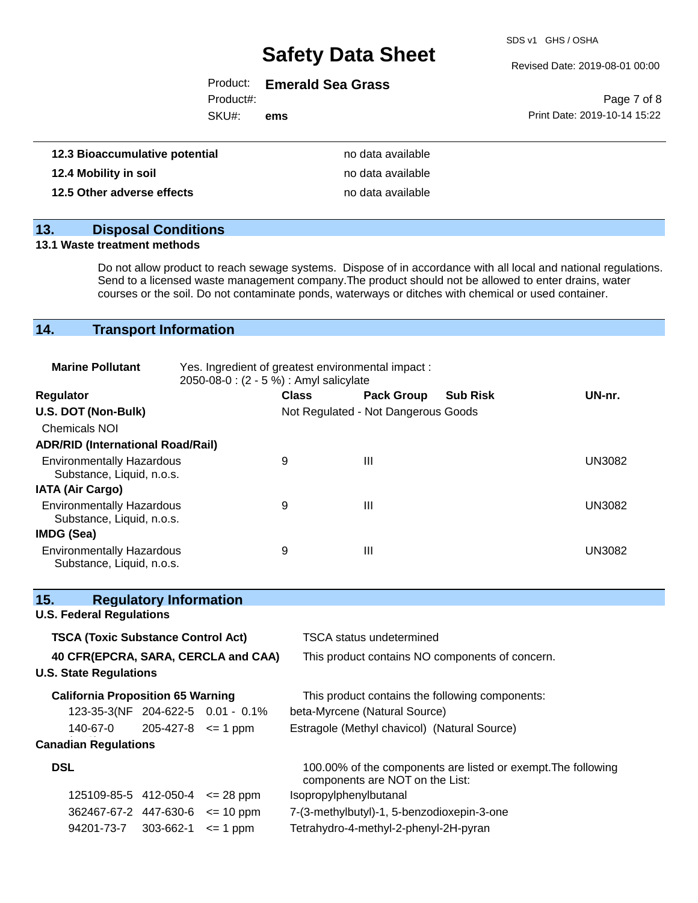SDS v1 GHS / OSHA

Revised Date: 2019-08-01 00:00

| Product: | <b>Emerald Sea Grass</b> |  |  |
|----------|--------------------------|--|--|
|----------|--------------------------|--|--|

Product#:

SKU#: **ems**

|                              | Page 7 of 8 |  |
|------------------------------|-------------|--|
| Print Date: 2019-10-14 15:22 |             |  |

| 12.3 Bioaccumulative potential | no data available |
|--------------------------------|-------------------|
| 12.4 Mobility in soil          | no data available |
| 12.5 Other adverse effects     | no data available |

## **13. Disposal Conditions**

### **13.1 Waste treatment methods**

Do not allow product to reach sewage systems. Dispose of in accordance with all local and national regulations. Send to a licensed waste management company.The product should not be allowed to enter drains, water courses or the soil. Do not contaminate ponds, waterways or ditches with chemical or used container.

## **14. Transport Information**

| <b>Marine Pollutant</b>                                       | Yes. Ingredient of greatest environmental impact:<br>2050-08-0 : (2 - 5 %) : Amyl salicylate |              |                                     |                 |               |
|---------------------------------------------------------------|----------------------------------------------------------------------------------------------|--------------|-------------------------------------|-----------------|---------------|
| <b>Regulator</b>                                              |                                                                                              | <b>Class</b> | <b>Pack Group</b>                   | <b>Sub Risk</b> | UN-nr.        |
| U.S. DOT (Non-Bulk)                                           |                                                                                              |              | Not Regulated - Not Dangerous Goods |                 |               |
| <b>Chemicals NOI</b>                                          |                                                                                              |              |                                     |                 |               |
| <b>ADR/RID (International Road/Rail)</b>                      |                                                                                              |              |                                     |                 |               |
| <b>Environmentally Hazardous</b><br>Substance, Liquid, n.o.s. |                                                                                              | 9            | Ш                                   |                 | <b>UN3082</b> |
| <b>IATA (Air Cargo)</b>                                       |                                                                                              |              |                                     |                 |               |
| <b>Environmentally Hazardous</b><br>Substance, Liquid, n.o.s. |                                                                                              | 9            | Ш                                   |                 | <b>UN3082</b> |
| IMDG (Sea)                                                    |                                                                                              |              |                                     |                 |               |
| <b>Environmentally Hazardous</b><br>Substance, Liquid, n.o.s. |                                                                                              | 9            | Ш                                   |                 | UN3082        |

| <b>TSCA status undetermined</b>                                                                  |  |
|--------------------------------------------------------------------------------------------------|--|
| This product contains NO components of concern.                                                  |  |
|                                                                                                  |  |
| This product contains the following components:                                                  |  |
| beta-Myrcene (Natural Source)                                                                    |  |
| Estragole (Methyl chavicol) (Natural Source)                                                     |  |
|                                                                                                  |  |
| 100.00% of the components are listed or exempt. The following<br>components are NOT on the List: |  |
| Isopropylphenylbutanal                                                                           |  |
| 7-(3-methylbutyl)-1, 5-benzodioxepin-3-one                                                       |  |
| Tetrahydro-4-methyl-2-phenyl-2H-pyran                                                            |  |
|                                                                                                  |  |